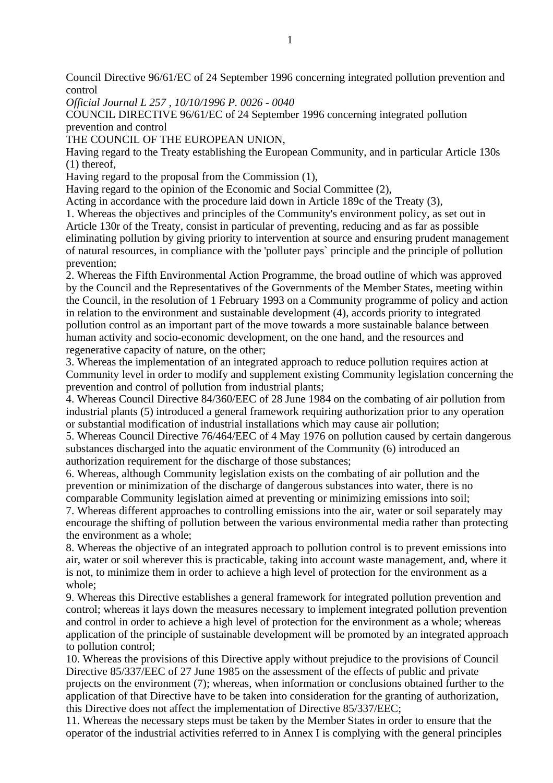Council Directive 96/61/EC of 24 September 1996 concerning integrated pollution prevention and control

*Official Journal L 257 , 10/10/1996 P. 0026 - 0040*

COUNCIL DIRECTIVE 96/61/EC of 24 September 1996 concerning integrated pollution prevention and control

THE COUNCIL OF THE EUROPEAN UNION,

Having regard to the Treaty establishing the European Community, and in particular Article 130s (1) thereof,

Having regard to the proposal from the Commission (1),

Having regard to the opinion of the Economic and Social Committee (2),

Acting in accordance with the procedure laid down in Article 189c of the Treaty (3),

1. Whereas the objectives and principles of the Community's environment policy, as set out in Article 130r of the Treaty, consist in particular of preventing, reducing and as far as possible eliminating pollution by giving priority to intervention at source and ensuring prudent management of natural resources, in compliance with the 'polluter pays` principle and the principle of pollution prevention;

2. Whereas the Fifth Environmental Action Programme, the broad outline of which was approved by the Council and the Representatives of the Governments of the Member States, meeting within the Council, in the resolution of 1 February 1993 on a Community programme of policy and action in relation to the environment and sustainable development (4), accords priority to integrated pollution control as an important part of the move towards a more sustainable balance between human activity and socio-economic development, on the one hand, and the resources and regenerative capacity of nature, on the other;

3. Whereas the implementation of an integrated approach to reduce pollution requires action at Community level in order to modify and supplement existing Community legislation concerning the prevention and control of pollution from industrial plants;

4. Whereas Council Directive 84/360/EEC of 28 June 1984 on the combating of air pollution from industrial plants (5) introduced a general framework requiring authorization prior to any operation or substantial modification of industrial installations which may cause air pollution;

5. Whereas Council Directive 76/464/EEC of 4 May 1976 on pollution caused by certain dangerous substances discharged into the aquatic environment of the Community (6) introduced an authorization requirement for the discharge of those substances;

6. Whereas, although Community legislation exists on the combating of air pollution and the prevention or minimization of the discharge of dangerous substances into water, there is no comparable Community legislation aimed at preventing or minimizing emissions into soil;

7. Whereas different approaches to controlling emissions into the air, water or soil separately may encourage the shifting of pollution between the various environmental media rather than protecting the environment as a whole;

8. Whereas the objective of an integrated approach to pollution control is to prevent emissions into air, water or soil wherever this is practicable, taking into account waste management, and, where it is not, to minimize them in order to achieve a high level of protection for the environment as a whole;

9. Whereas this Directive establishes a general framework for integrated pollution prevention and control; whereas it lays down the measures necessary to implement integrated pollution prevention and control in order to achieve a high level of protection for the environment as a whole; whereas application of the principle of sustainable development will be promoted by an integrated approach to pollution control;

10. Whereas the provisions of this Directive apply without prejudice to the provisions of Council Directive 85/337/EEC of 27 June 1985 on the assessment of the effects of public and private projects on the environment (7); whereas, when information or conclusions obtained further to the application of that Directive have to be taken into consideration for the granting of authorization, this Directive does not affect the implementation of Directive 85/337/EEC;

11. Whereas the necessary steps must be taken by the Member States in order to ensure that the operator of the industrial activities referred to in Annex I is complying with the general principles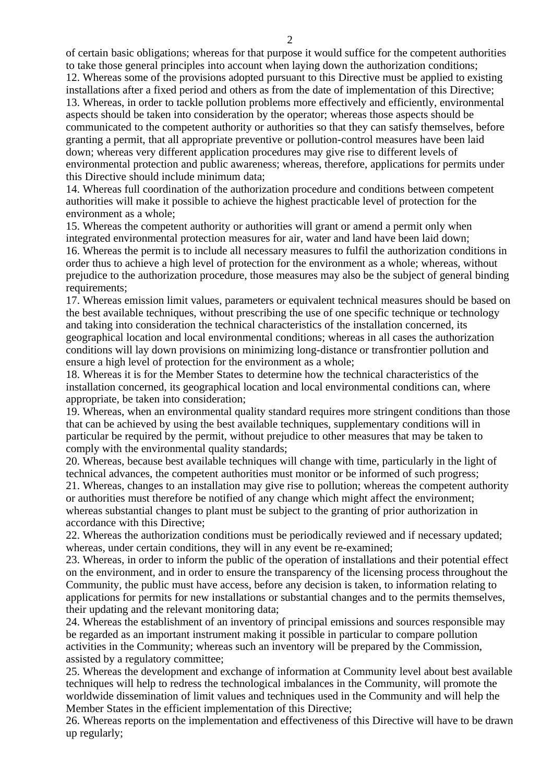of certain basic obligations; whereas for that purpose it would suffice for the competent authorities to take those general principles into account when laying down the authorization conditions; 12. Whereas some of the provisions adopted pursuant to this Directive must be applied to existing installations after a fixed period and others as from the date of implementation of this Directive; 13. Whereas, in order to tackle pollution problems more effectively and efficiently, environmental aspects should be taken into consideration by the operator; whereas those aspects should be communicated to the competent authority or authorities so that they can satisfy themselves, before granting a permit, that all appropriate preventive or pollution-control measures have been laid down; whereas very different application procedures may give rise to different levels of environmental protection and public awareness; whereas, therefore, applications for permits under this Directive should include minimum data;

14. Whereas full coordination of the authorization procedure and conditions between competent authorities will make it possible to achieve the highest practicable level of protection for the environment as a whole;

15. Whereas the competent authority or authorities will grant or amend a permit only when integrated environmental protection measures for air, water and land have been laid down; 16. Whereas the permit is to include all necessary measures to fulfil the authorization conditions in order thus to achieve a high level of protection for the environment as a whole; whereas, without prejudice to the authorization procedure, those measures may also be the subject of general binding requirements;

17. Whereas emission limit values, parameters or equivalent technical measures should be based on the best available techniques, without prescribing the use of one specific technique or technology and taking into consideration the technical characteristics of the installation concerned, its geographical location and local environmental conditions; whereas in all cases the authorization conditions will lay down provisions on minimizing long-distance or transfrontier pollution and ensure a high level of protection for the environment as a whole;

18. Whereas it is for the Member States to determine how the technical characteristics of the installation concerned, its geographical location and local environmental conditions can, where appropriate, be taken into consideration;

19. Whereas, when an environmental quality standard requires more stringent conditions than those that can be achieved by using the best available techniques, supplementary conditions will in particular be required by the permit, without prejudice to other measures that may be taken to comply with the environmental quality standards;

20. Whereas, because best available techniques will change with time, particularly in the light of technical advances, the competent authorities must monitor or be informed of such progress; 21. Whereas, changes to an installation may give rise to pollution; whereas the competent authority or authorities must therefore be notified of any change which might affect the environment; whereas substantial changes to plant must be subject to the granting of prior authorization in accordance with this Directive;

22. Whereas the authorization conditions must be periodically reviewed and if necessary updated; whereas, under certain conditions, they will in any event be re-examined;

23. Whereas, in order to inform the public of the operation of installations and their potential effect on the environment, and in order to ensure the transparency of the licensing process throughout the Community, the public must have access, before any decision is taken, to information relating to applications for permits for new installations or substantial changes and to the permits themselves, their updating and the relevant monitoring data;

24. Whereas the establishment of an inventory of principal emissions and sources responsible may be regarded as an important instrument making it possible in particular to compare pollution activities in the Community; whereas such an inventory will be prepared by the Commission, assisted by a regulatory committee;

25. Whereas the development and exchange of information at Community level about best available techniques will help to redress the technological imbalances in the Community, will promote the worldwide dissemination of limit values and techniques used in the Community and will help the Member States in the efficient implementation of this Directive;

26. Whereas reports on the implementation and effectiveness of this Directive will have to be drawn up regularly;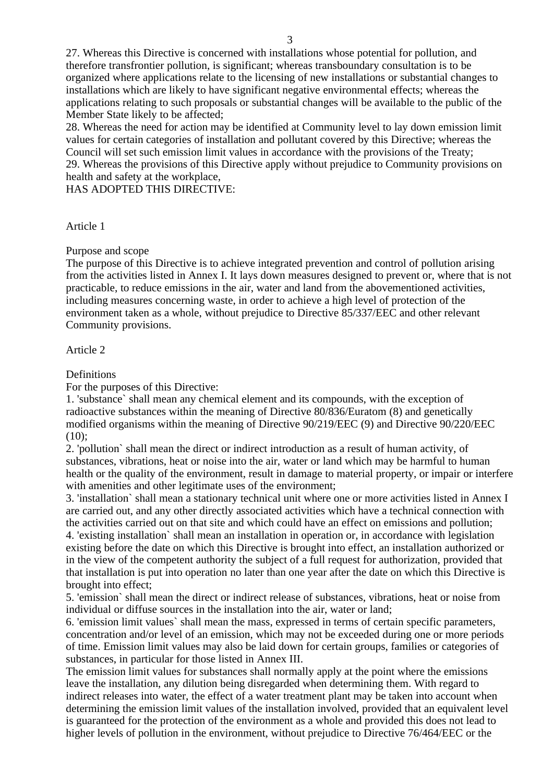27. Whereas this Directive is concerned with installations whose potential for pollution, and therefore transfrontier pollution, is significant; whereas transboundary consultation is to be organized where applications relate to the licensing of new installations or substantial changes to installations which are likely to have significant negative environmental effects; whereas the applications relating to such proposals or substantial changes will be available to the public of the Member State likely to be affected;

28. Whereas the need for action may be identified at Community level to lay down emission limit values for certain categories of installation and pollutant covered by this Directive; whereas the Council will set such emission limit values in accordance with the provisions of the Treaty; 29. Whereas the provisions of this Directive apply without prejudice to Community provisions on health and safety at the workplace,

HAS ADOPTED THIS DIRECTIVE:

#### Article 1

Purpose and scope

The purpose of this Directive is to achieve integrated prevention and control of pollution arising from the activities listed in Annex I. It lays down measures designed to prevent or, where that is not practicable, to reduce emissions in the air, water and land from the abovementioned activities, including measures concerning waste, in order to achieve a high level of protection of the environment taken as a whole, without prejudice to Directive 85/337/EEC and other relevant Community provisions.

#### Article 2

#### **Definitions**

For the purposes of this Directive:

1. 'substance` shall mean any chemical element and its compounds, with the exception of radioactive substances within the meaning of Directive 80/836/Euratom (8) and genetically modified organisms within the meaning of Directive 90/219/EEC (9) and Directive 90/220/EEC (10);

2. 'pollution` shall mean the direct or indirect introduction as a result of human activity, of substances, vibrations, heat or noise into the air, water or land which may be harmful to human health or the quality of the environment, result in damage to material property, or impair or interfere with amenities and other legitimate uses of the environment;

3. 'installation` shall mean a stationary technical unit where one or more activities listed in Annex I are carried out, and any other directly associated activities which have a technical connection with the activities carried out on that site and which could have an effect on emissions and pollution; 4. 'existing installation` shall mean an installation in operation or, in accordance with legislation existing before the date on which this Directive is brought into effect, an installation authorized or in the view of the competent authority the subject of a full request for authorization, provided that that installation is put into operation no later than one year after the date on which this Directive is brought into effect;

5. 'emission` shall mean the direct or indirect release of substances, vibrations, heat or noise from individual or diffuse sources in the installation into the air, water or land;

6. 'emission limit values` shall mean the mass, expressed in terms of certain specific parameters, concentration and/or level of an emission, which may not be exceeded during one or more periods of time. Emission limit values may also be laid down for certain groups, families or categories of substances, in particular for those listed in Annex III.

The emission limit values for substances shall normally apply at the point where the emissions leave the installation, any dilution being disregarded when determining them. With regard to indirect releases into water, the effect of a water treatment plant may be taken into account when determining the emission limit values of the installation involved, provided that an equivalent level is guaranteed for the protection of the environment as a whole and provided this does not lead to higher levels of pollution in the environment, without prejudice to Directive 76/464/EEC or the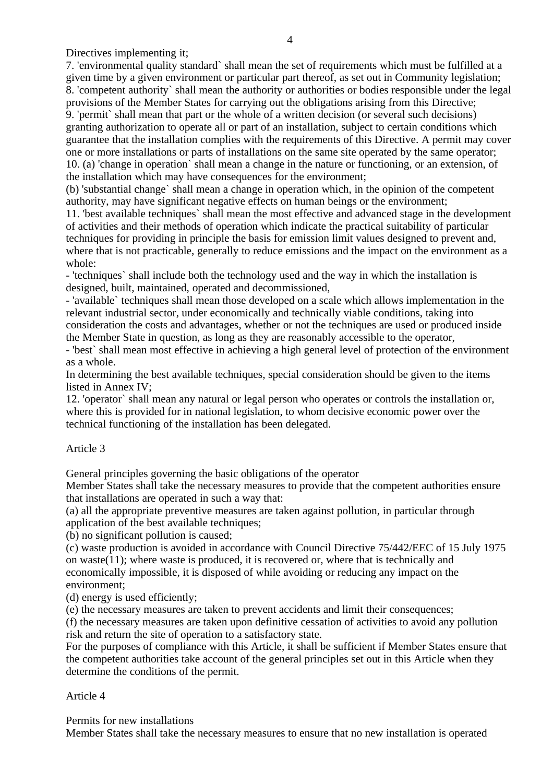Directives implementing it;

7. 'environmental quality standard` shall mean the set of requirements which must be fulfilled at a given time by a given environment or particular part thereof, as set out in Community legislation; 8. 'competent authority` shall mean the authority or authorities or bodies responsible under the legal provisions of the Member States for carrying out the obligations arising from this Directive; 9. 'permit` shall mean that part or the whole of a written decision (or several such decisions)

granting authorization to operate all or part of an installation, subject to certain conditions which guarantee that the installation complies with the requirements of this Directive. A permit may cover one or more installations or parts of installations on the same site operated by the same operator; 10. (a) 'change in operation` shall mean a change in the nature or functioning, or an extension, of the installation which may have consequences for the environment;

(b) 'substantial change` shall mean a change in operation which, in the opinion of the competent authority, may have significant negative effects on human beings or the environment;

11. 'best available techniques` shall mean the most effective and advanced stage in the development of activities and their methods of operation which indicate the practical suitability of particular techniques for providing in principle the basis for emission limit values designed to prevent and, where that is not practicable, generally to reduce emissions and the impact on the environment as a whole:

- 'techniques` shall include both the technology used and the way in which the installation is designed, built, maintained, operated and decommissioned,

- 'available` techniques shall mean those developed on a scale which allows implementation in the relevant industrial sector, under economically and technically viable conditions, taking into consideration the costs and advantages, whether or not the techniques are used or produced inside the Member State in question, as long as they are reasonably accessible to the operator,

- 'best` shall mean most effective in achieving a high general level of protection of the environment as a whole.

In determining the best available techniques, special consideration should be given to the items listed in Annex IV;

12. 'operator` shall mean any natural or legal person who operates or controls the installation or, where this is provided for in national legislation, to whom decisive economic power over the technical functioning of the installation has been delegated.

# Article 3

General principles governing the basic obligations of the operator

Member States shall take the necessary measures to provide that the competent authorities ensure that installations are operated in such a way that:

(a) all the appropriate preventive measures are taken against pollution, in particular through application of the best available techniques;

(b) no significant pollution is caused;

(c) waste production is avoided in accordance with Council Directive 75/442/EEC of 15 July 1975 on waste(11); where waste is produced, it is recovered or, where that is technically and economically impossible, it is disposed of while avoiding or reducing any impact on the environment;

(d) energy is used efficiently;

(e) the necessary measures are taken to prevent accidents and limit their consequences;

(f) the necessary measures are taken upon definitive cessation of activities to avoid any pollution risk and return the site of operation to a satisfactory state.

For the purposes of compliance with this Article, it shall be sufficient if Member States ensure that the competent authorities take account of the general principles set out in this Article when they determine the conditions of the permit.

### Article 4

Permits for new installations

Member States shall take the necessary measures to ensure that no new installation is operated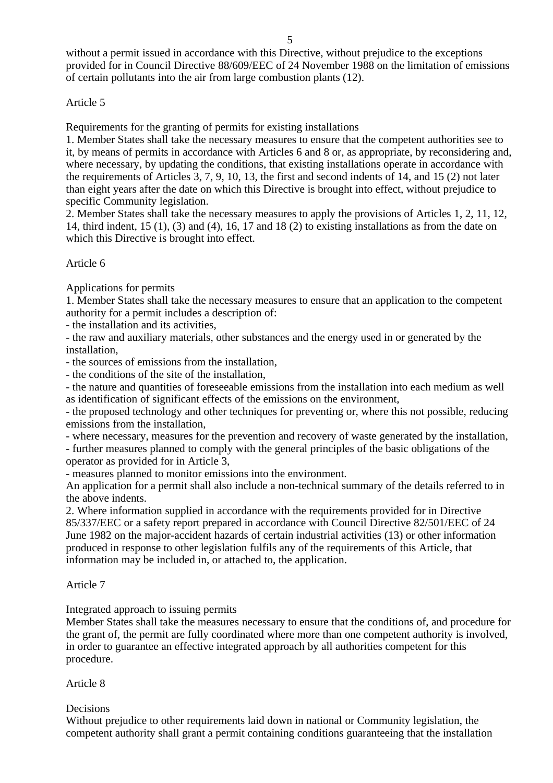without a permit issued in accordance with this Directive, without prejudice to the exceptions provided for in Council Directive 88/609/EEC of 24 November 1988 on the limitation of emissions of certain pollutants into the air from large combustion plants (12).

# Article 5

Requirements for the granting of permits for existing installations

1. Member States shall take the necessary measures to ensure that the competent authorities see to it, by means of permits in accordance with Articles 6 and 8 or, as appropriate, by reconsidering and, where necessary, by updating the conditions, that existing installations operate in accordance with the requirements of Articles 3, 7, 9, 10, 13, the first and second indents of 14, and 15 (2) not later than eight years after the date on which this Directive is brought into effect, without prejudice to specific Community legislation.

2. Member States shall take the necessary measures to apply the provisions of Articles 1, 2, 11, 12, 14, third indent, 15 (1), (3) and (4), 16, 17 and 18 (2) to existing installations as from the date on which this Directive is brought into effect.

# Article 6

Applications for permits

1. Member States shall take the necessary measures to ensure that an application to the competent authority for a permit includes a description of:

- the installation and its activities,

- the raw and auxiliary materials, other substances and the energy used in or generated by the installation,

- the sources of emissions from the installation,

- the conditions of the site of the installation,

- the nature and quantities of foreseeable emissions from the installation into each medium as well as identification of significant effects of the emissions on the environment,

- the proposed technology and other techniques for preventing or, where this not possible, reducing emissions from the installation,

- where necessary, measures for the prevention and recovery of waste generated by the installation,

- further measures planned to comply with the general principles of the basic obligations of the operator as provided for in Article 3,

- measures planned to monitor emissions into the environment.

An application for a permit shall also include a non-technical summary of the details referred to in the above indents.

2. Where information supplied in accordance with the requirements provided for in Directive 85/337/EEC or a safety report prepared in accordance with Council Directive 82/501/EEC of 24 June 1982 on the major-accident hazards of certain industrial activities (13) or other information produced in response to other legislation fulfils any of the requirements of this Article, that information may be included in, or attached to, the application.

# Article 7

Integrated approach to issuing permits

Member States shall take the measures necessary to ensure that the conditions of, and procedure for the grant of, the permit are fully coordinated where more than one competent authority is involved, in order to guarantee an effective integrated approach by all authorities competent for this procedure.

# Article 8

# **Decisions**

Without prejudice to other requirements laid down in national or Community legislation, the competent authority shall grant a permit containing conditions guaranteeing that the installation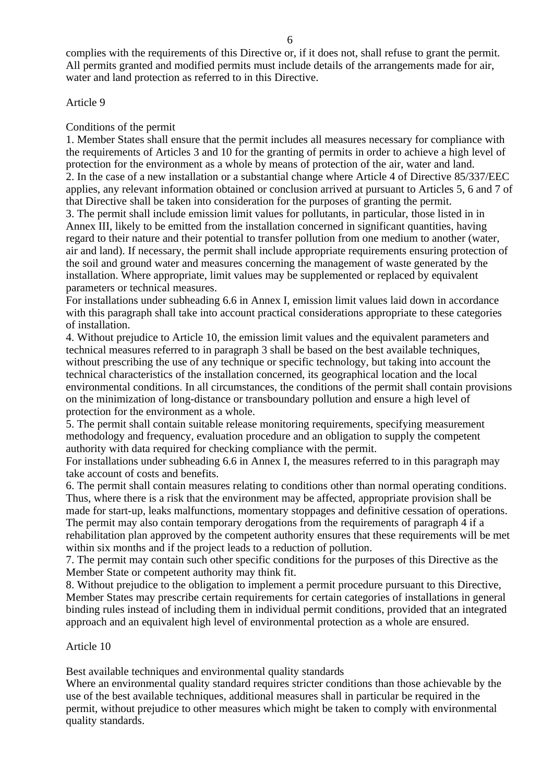complies with the requirements of this Directive or, if it does not, shall refuse to grant the permit. All permits granted and modified permits must include details of the arrangements made for air, water and land protection as referred to in this Directive.

### Article 9

### Conditions of the permit

1. Member States shall ensure that the permit includes all measures necessary for compliance with the requirements of Articles 3 and 10 for the granting of permits in order to achieve a high level of protection for the environment as a whole by means of protection of the air, water and land. 2. In the case of a new installation or a substantial change where Article 4 of Directive 85/337/EEC applies, any relevant information obtained or conclusion arrived at pursuant to Articles 5, 6 and 7 of that Directive shall be taken into consideration for the purposes of granting the permit.

3. The permit shall include emission limit values for pollutants, in particular, those listed in in Annex III, likely to be emitted from the installation concerned in significant quantities, having regard to their nature and their potential to transfer pollution from one medium to another (water, air and land). If necessary, the permit shall include appropriate requirements ensuring protection of the soil and ground water and measures concerning the management of waste generated by the installation. Where appropriate, limit values may be supplemented or replaced by equivalent parameters or technical measures.

For installations under subheading 6.6 in Annex I, emission limit values laid down in accordance with this paragraph shall take into account practical considerations appropriate to these categories of installation.

4. Without prejudice to Article 10, the emission limit values and the equivalent parameters and technical measures referred to in paragraph 3 shall be based on the best available techniques, without prescribing the use of any technique or specific technology, but taking into account the technical characteristics of the installation concerned, its geographical location and the local environmental conditions. In all circumstances, the conditions of the permit shall contain provisions on the minimization of long-distance or transboundary pollution and ensure a high level of protection for the environment as a whole.

5. The permit shall contain suitable release monitoring requirements, specifying measurement methodology and frequency, evaluation procedure and an obligation to supply the competent authority with data required for checking compliance with the permit.

For installations under subheading 6.6 in Annex I, the measures referred to in this paragraph may take account of costs and benefits.

6. The permit shall contain measures relating to conditions other than normal operating conditions. Thus, where there is a risk that the environment may be affected, appropriate provision shall be made for start-up, leaks malfunctions, momentary stoppages and definitive cessation of operations. The permit may also contain temporary derogations from the requirements of paragraph 4 if a rehabilitation plan approved by the competent authority ensures that these requirements will be met within six months and if the project leads to a reduction of pollution.

7. The permit may contain such other specific conditions for the purposes of this Directive as the Member State or competent authority may think fit.

8. Without prejudice to the obligation to implement a permit procedure pursuant to this Directive, Member States may prescribe certain requirements for certain categories of installations in general binding rules instead of including them in individual permit conditions, provided that an integrated approach and an equivalent high level of environmental protection as a whole are ensured.

### Article 10

Best available techniques and environmental quality standards

Where an environmental quality standard requires stricter conditions than those achievable by the use of the best available techniques, additional measures shall in particular be required in the permit, without prejudice to other measures which might be taken to comply with environmental quality standards.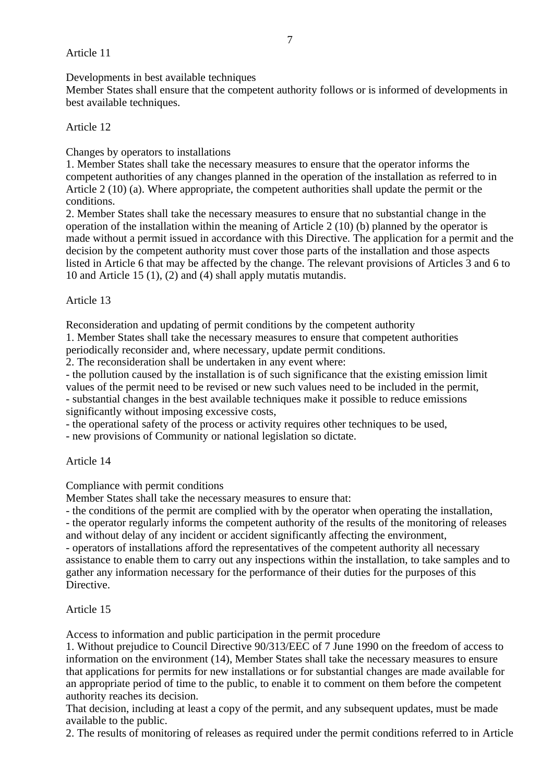### Article 11

Developments in best available techniques

Member States shall ensure that the competent authority follows or is informed of developments in best available techniques.

## Article 12

Changes by operators to installations

1. Member States shall take the necessary measures to ensure that the operator informs the competent authorities of any changes planned in the operation of the installation as referred to in Article 2 (10) (a). Where appropriate, the competent authorities shall update the permit or the conditions.

2. Member States shall take the necessary measures to ensure that no substantial change in the operation of the installation within the meaning of Article 2 (10) (b) planned by the operator is made without a permit issued in accordance with this Directive. The application for a permit and the decision by the competent authority must cover those parts of the installation and those aspects listed in Article 6 that may be affected by the change. The relevant provisions of Articles 3 and 6 to 10 and Article 15 (1), (2) and (4) shall apply mutatis mutandis.

## Article 13

Reconsideration and updating of permit conditions by the competent authority

1. Member States shall take the necessary measures to ensure that competent authorities periodically reconsider and, where necessary, update permit conditions.

2. The reconsideration shall be undertaken in any event where:

- the pollution caused by the installation is of such significance that the existing emission limit values of the permit need to be revised or new such values need to be included in the permit,

- substantial changes in the best available techniques make it possible to reduce emissions significantly without imposing excessive costs,

- the operational safety of the process or activity requires other techniques to be used,

- new provisions of Community or national legislation so dictate.

Article 14

Compliance with permit conditions

Member States shall take the necessary measures to ensure that:

- the conditions of the permit are complied with by the operator when operating the installation,

- the operator regularly informs the competent authority of the results of the monitoring of releases and without delay of any incident or accident significantly affecting the environment,

- operators of installations afford the representatives of the competent authority all necessary assistance to enable them to carry out any inspections within the installation, to take samples and to gather any information necessary for the performance of their duties for the purposes of this Directive.

# Article 15

Access to information and public participation in the permit procedure

1. Without prejudice to Council Directive 90/313/EEC of 7 June 1990 on the freedom of access to information on the environment (14), Member States shall take the necessary measures to ensure that applications for permits for new installations or for substantial changes are made available for an appropriate period of time to the public, to enable it to comment on them before the competent authority reaches its decision.

That decision, including at least a copy of the permit, and any subsequent updates, must be made available to the public.

2. The results of monitoring of releases as required under the permit conditions referred to in Article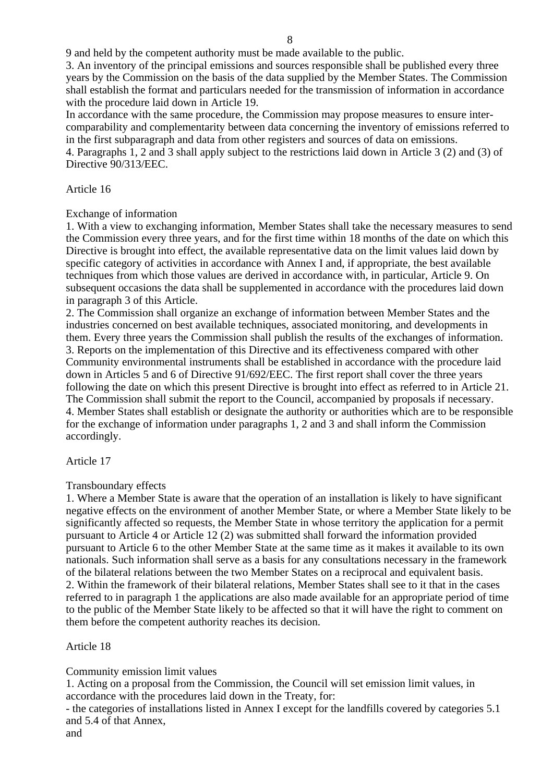9 and held by the competent authority must be made available to the public.

3. An inventory of the principal emissions and sources responsible shall be published every three years by the Commission on the basis of the data supplied by the Member States. The Commission shall establish the format and particulars needed for the transmission of information in accordance with the procedure laid down in Article 19.

In accordance with the same procedure, the Commission may propose measures to ensure intercomparability and complementarity between data concerning the inventory of emissions referred to in the first subparagraph and data from other registers and sources of data on emissions.

4. Paragraphs 1, 2 and 3 shall apply subject to the restrictions laid down in Article 3 (2) and (3) of Directive 90/313/EEC.

### Article 16

Exchange of information

1. With a view to exchanging information, Member States shall take the necessary measures to send the Commission every three years, and for the first time within 18 months of the date on which this Directive is brought into effect, the available representative data on the limit values laid down by specific category of activities in accordance with Annex I and, if appropriate, the best available techniques from which those values are derived in accordance with, in particular, Article 9. On subsequent occasions the data shall be supplemented in accordance with the procedures laid down in paragraph 3 of this Article.

2. The Commission shall organize an exchange of information between Member States and the industries concerned on best available techniques, associated monitoring, and developments in them. Every three years the Commission shall publish the results of the exchanges of information. 3. Reports on the implementation of this Directive and its effectiveness compared with other Community environmental instruments shall be established in accordance with the procedure laid down in Articles 5 and 6 of Directive 91/692/EEC. The first report shall cover the three years following the date on which this present Directive is brought into effect as referred to in Article 21. The Commission shall submit the report to the Council, accompanied by proposals if necessary. 4. Member States shall establish or designate the authority or authorities which are to be responsible for the exchange of information under paragraphs 1, 2 and 3 and shall inform the Commission accordingly.

Article 17

### Transboundary effects

1. Where a Member State is aware that the operation of an installation is likely to have significant negative effects on the environment of another Member State, or where a Member State likely to be significantly affected so requests, the Member State in whose territory the application for a permit pursuant to Article 4 or Article 12 (2) was submitted shall forward the information provided pursuant to Article 6 to the other Member State at the same time as it makes it available to its own nationals. Such information shall serve as a basis for any consultations necessary in the framework of the bilateral relations between the two Member States on a reciprocal and equivalent basis. 2. Within the framework of their bilateral relations, Member States shall see to it that in the cases referred to in paragraph 1 the applications are also made available for an appropriate period of time to the public of the Member State likely to be affected so that it will have the right to comment on them before the competent authority reaches its decision.

### Article 18

Community emission limit values

1. Acting on a proposal from the Commission, the Council will set emission limit values, in accordance with the procedures laid down in the Treaty, for:

- the categories of installations listed in Annex I except for the landfills covered by categories 5.1 and 5.4 of that Annex,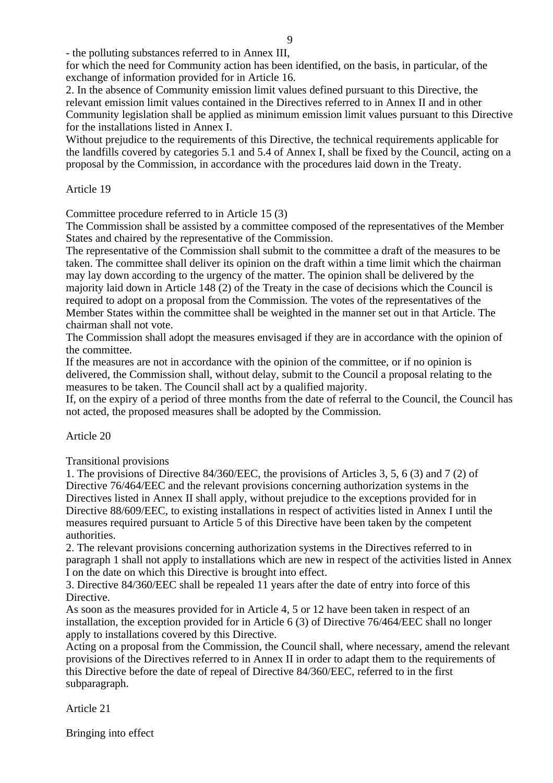- the polluting substances referred to in Annex III,

for which the need for Community action has been identified, on the basis, in particular, of the exchange of information provided for in Article 16.

2. In the absence of Community emission limit values defined pursuant to this Directive, the relevant emission limit values contained in the Directives referred to in Annex II and in other Community legislation shall be applied as minimum emission limit values pursuant to this Directive for the installations listed in Annex I.

Without prejudice to the requirements of this Directive, the technical requirements applicable for the landfills covered by categories 5.1 and 5.4 of Annex I, shall be fixed by the Council, acting on a proposal by the Commission, in accordance with the procedures laid down in the Treaty.

Article 19

Committee procedure referred to in Article 15 (3)

The Commission shall be assisted by a committee composed of the representatives of the Member States and chaired by the representative of the Commission.

The representative of the Commission shall submit to the committee a draft of the measures to be taken. The committee shall deliver its opinion on the draft within a time limit which the chairman may lay down according to the urgency of the matter. The opinion shall be delivered by the majority laid down in Article 148 (2) of the Treaty in the case of decisions which the Council is required to adopt on a proposal from the Commission. The votes of the representatives of the Member States within the committee shall be weighted in the manner set out in that Article. The chairman shall not vote.

The Commission shall adopt the measures envisaged if they are in accordance with the opinion of the committee.

If the measures are not in accordance with the opinion of the committee, or if no opinion is delivered, the Commission shall, without delay, submit to the Council a proposal relating to the measures to be taken. The Council shall act by a qualified majority.

If, on the expiry of a period of three months from the date of referral to the Council, the Council has not acted, the proposed measures shall be adopted by the Commission.

### Article 20

Transitional provisions

1. The provisions of Directive 84/360/EEC, the provisions of Articles 3, 5, 6 (3) and 7 (2) of Directive 76/464/EEC and the relevant provisions concerning authorization systems in the Directives listed in Annex II shall apply, without prejudice to the exceptions provided for in Directive 88/609/EEC, to existing installations in respect of activities listed in Annex I until the measures required pursuant to Article 5 of this Directive have been taken by the competent authorities.

2. The relevant provisions concerning authorization systems in the Directives referred to in paragraph 1 shall not apply to installations which are new in respect of the activities listed in Annex I on the date on which this Directive is brought into effect.

3. Directive 84/360/EEC shall be repealed 11 years after the date of entry into force of this Directive.

As soon as the measures provided for in Article 4, 5 or 12 have been taken in respect of an installation, the exception provided for in Article 6 (3) of Directive 76/464/EEC shall no longer apply to installations covered by this Directive.

Acting on a proposal from the Commission, the Council shall, where necessary, amend the relevant provisions of the Directives referred to in Annex II in order to adapt them to the requirements of this Directive before the date of repeal of Directive 84/360/EEC, referred to in the first subparagraph.

Article 21

Bringing into effect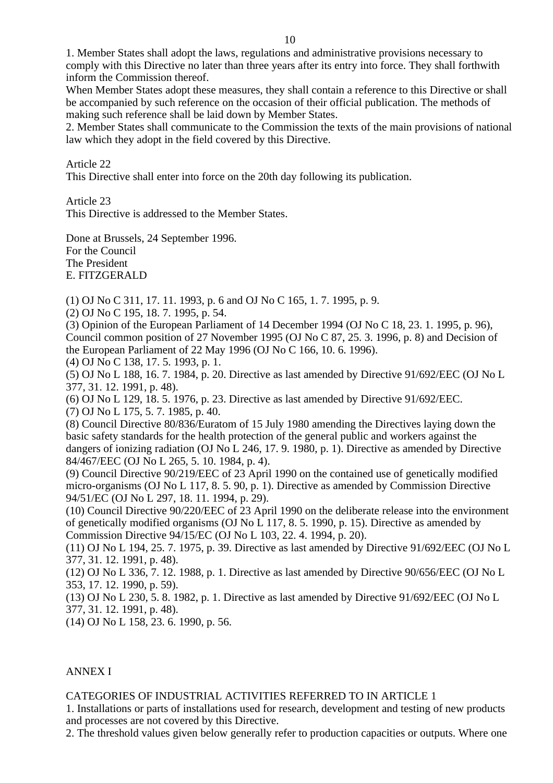1. Member States shall adopt the laws, regulations and administrative provisions necessary to comply with this Directive no later than three years after its entry into force. They shall forthwith inform the Commission thereof.

When Member States adopt these measures, they shall contain a reference to this Directive or shall be accompanied by such reference on the occasion of their official publication. The methods of making such reference shall be laid down by Member States.

2. Member States shall communicate to the Commission the texts of the main provisions of national law which they adopt in the field covered by this Directive.

Article 22

This Directive shall enter into force on the 20th day following its publication.

Article 23

This Directive is addressed to the Member States.

Done at Brussels, 24 September 1996. For the Council The President E. FITZGERALD

(1) OJ No C 311, 17. 11. 1993, p. 6 and OJ No C 165, 1. 7. 1995, p. 9.

(2) OJ No C 195, 18. 7. 1995, p. 54.

(3) Opinion of the European Parliament of 14 December 1994 (OJ No C 18, 23. 1. 1995, p. 96), Council common position of 27 November 1995 (OJ No C 87, 25. 3. 1996, p. 8) and Decision of the European Parliament of 22 May 1996 (OJ No C 166, 10. 6. 1996).

(4) OJ No C 138, 17. 5. 1993, p. 1.

(5) OJ No L 188, 16. 7. 1984, p. 20. Directive as last amended by Directive 91/692/EEC (OJ No L 377, 31. 12. 1991, p. 48).

(6) OJ No L 129, 18. 5. 1976, p. 23. Directive as last amended by Directive 91/692/EEC.

(7) OJ No L 175, 5. 7. 1985, p. 40.

(8) Council Directive 80/836/Euratom of 15 July 1980 amending the Directives laying down the basic safety standards for the health protection of the general public and workers against the dangers of ionizing radiation (OJ No L 246, 17. 9. 1980, p. 1). Directive as amended by Directive 84/467/EEC (OJ No L 265, 5. 10. 1984, p. 4).

(9) Council Directive 90/219/EEC of 23 April 1990 on the contained use of genetically modified micro-organisms (OJ No L 117, 8. 5. 90, p. 1). Directive as amended by Commission Directive 94/51/EC (OJ No L 297, 18. 11. 1994, p. 29).

(10) Council Directive 90/220/EEC of 23 April 1990 on the deliberate release into the environment of genetically modified organisms (OJ No L 117, 8. 5. 1990, p. 15). Directive as amended by Commission Directive 94/15/EC (OJ No L 103, 22. 4. 1994, p. 20).

(11) OJ No L 194, 25. 7. 1975, p. 39. Directive as last amended by Directive 91/692/EEC (OJ No L 377, 31. 12. 1991, p. 48).

(12) OJ No L 336, 7. 12. 1988, p. 1. Directive as last amended by Directive 90/656/EEC (OJ No L 353, 17. 12. 1990, p. 59).

(13) OJ No L 230, 5. 8. 1982, p. 1. Directive as last amended by Directive 91/692/EEC (OJ No L 377, 31. 12. 1991, p. 48).

(14) OJ No L 158, 23. 6. 1990, p. 56.

# ANNEX I

CATEGORIES OF INDUSTRIAL ACTIVITIES REFERRED TO IN ARTICLE 1

1. Installations or parts of installations used for research, development and testing of new products and processes are not covered by this Directive.

2. The threshold values given below generally refer to production capacities or outputs. Where one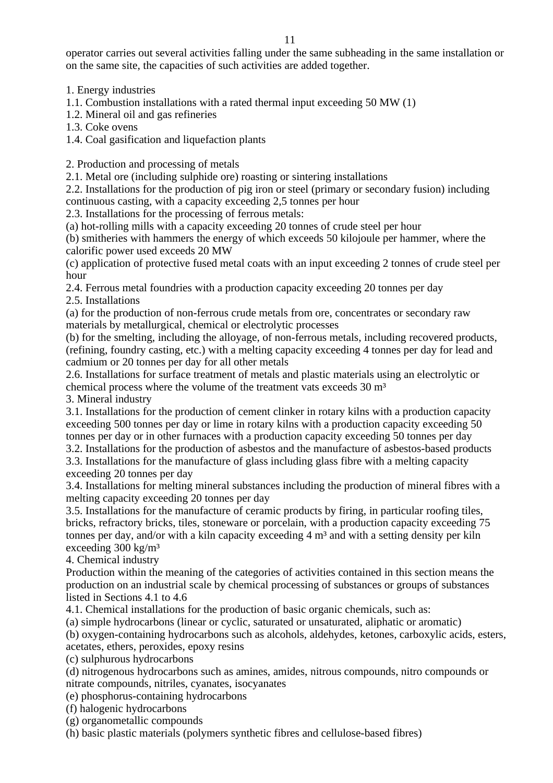operator carries out several activities falling under the same subheading in the same installation or on the same site, the capacities of such activities are added together.

1. Energy industries

1.1. Combustion installations with a rated thermal input exceeding 50 MW (1)

1.2. Mineral oil and gas refineries

1.3. Coke ovens

1.4. Coal gasification and liquefaction plants

2. Production and processing of metals

2.1. Metal ore (including sulphide ore) roasting or sintering installations

2.2. Installations for the production of pig iron or steel (primary or secondary fusion) including continuous casting, with a capacity exceeding 2,5 tonnes per hour

2.3. Installations for the processing of ferrous metals:

(a) hot-rolling mills with a capacity exceeding 20 tonnes of crude steel per hour

(b) smitheries with hammers the energy of which exceeds 50 kilojoule per hammer, where the calorific power used exceeds 20 MW

(c) application of protective fused metal coats with an input exceeding 2 tonnes of crude steel per hour

2.4. Ferrous metal foundries with a production capacity exceeding 20 tonnes per day 2.5. Installations

(a) for the production of non-ferrous crude metals from ore, concentrates or secondary raw materials by metallurgical, chemical or electrolytic processes

(b) for the smelting, including the alloyage, of non-ferrous metals, including recovered products, (refining, foundry casting, etc.) with a melting capacity exceeding 4 tonnes per day for lead and cadmium or 20 tonnes per day for all other metals

2.6. Installations for surface treatment of metals and plastic materials using an electrolytic or chemical process where the volume of the treatment vats exceeds  $30 \text{ m}^3$ 

3. Mineral industry

3.1. Installations for the production of cement clinker in rotary kilns with a production capacity exceeding 500 tonnes per day or lime in rotary kilns with a production capacity exceeding 50 tonnes per day or in other furnaces with a production capacity exceeding 50 tonnes per day

3.2. Installations for the production of asbestos and the manufacture of asbestos-based products

3.3. Installations for the manufacture of glass including glass fibre with a melting capacity exceeding 20 tonnes per day

3.4. Installations for melting mineral substances including the production of mineral fibres with a melting capacity exceeding 20 tonnes per day

3.5. Installations for the manufacture of ceramic products by firing, in particular roofing tiles, bricks, refractory bricks, tiles, stoneware or porcelain, with a production capacity exceeding 75 tonnes per day, and/or with a kiln capacity exceeding  $4 \text{ m}^3$  and with a setting density per kiln exceeding 300 kg/m³

4. Chemical industry

Production within the meaning of the categories of activities contained in this section means the production on an industrial scale by chemical processing of substances or groups of substances listed in Sections 4.1 to 4.6

4.1. Chemical installations for the production of basic organic chemicals, such as:

(a) simple hydrocarbons (linear or cyclic, saturated or unsaturated, aliphatic or aromatic)

(b) oxygen-containing hydrocarbons such as alcohols, aldehydes, ketones, carboxylic acids, esters, acetates, ethers, peroxides, epoxy resins

(c) sulphurous hydrocarbons

(d) nitrogenous hydrocarbons such as amines, amides, nitrous compounds, nitro compounds or nitrate compounds, nitriles, cyanates, isocyanates

(e) phosphorus-containing hydrocarbons

- (f) halogenic hydrocarbons
- (g) organometallic compounds

(h) basic plastic materials (polymers synthetic fibres and cellulose-based fibres)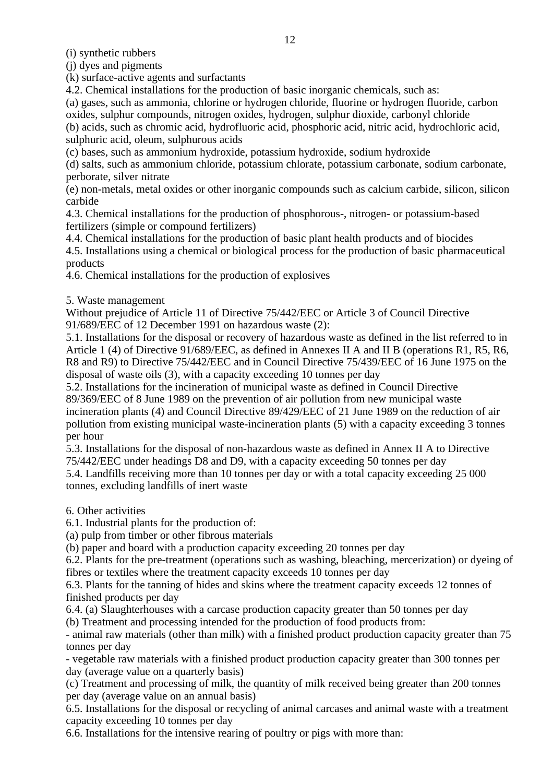(i) synthetic rubbers

(j) dyes and pigments

(k) surface-active agents and surfactants

4.2. Chemical installations for the production of basic inorganic chemicals, such as:

(a) gases, such as ammonia, chlorine or hydrogen chloride, fluorine or hydrogen fluoride, carbon oxides, sulphur compounds, nitrogen oxides, hydrogen, sulphur dioxide, carbonyl chloride

(b) acids, such as chromic acid, hydrofluoric acid, phosphoric acid, nitric acid, hydrochloric acid, sulphuric acid, oleum, sulphurous acids

(c) bases, such as ammonium hydroxide, potassium hydroxide, sodium hydroxide

(d) salts, such as ammonium chloride, potassium chlorate, potassium carbonate, sodium carbonate, perborate, silver nitrate

(e) non-metals, metal oxides or other inorganic compounds such as calcium carbide, silicon, silicon carbide

4.3. Chemical installations for the production of phosphorous-, nitrogen- or potassium-based fertilizers (simple or compound fertilizers)

4.4. Chemical installations for the production of basic plant health products and of biocides

4.5. Installations using a chemical or biological process for the production of basic pharmaceutical products

4.6. Chemical installations for the production of explosives

### 5. Waste management

Without prejudice of Article 11 of Directive 75/442/EEC or Article 3 of Council Directive 91/689/EEC of 12 December 1991 on hazardous waste (2):

5.1. Installations for the disposal or recovery of hazardous waste as defined in the list referred to in Article 1 (4) of Directive 91/689/EEC, as defined in Annexes II A and II B (operations R1, R5, R6, R8 and R9) to Directive 75/442/EEC and in Council Directive 75/439/EEC of 16 June 1975 on the disposal of waste oils (3), with a capacity exceeding 10 tonnes per day

5.2. Installations for the incineration of municipal waste as defined in Council Directive 89/369/EEC of 8 June 1989 on the prevention of air pollution from new municipal waste incineration plants (4) and Council Directive 89/429/EEC of 21 June 1989 on the reduction of air pollution from existing municipal waste-incineration plants (5) with a capacity exceeding 3 tonnes per hour

5.3. Installations for the disposal of non-hazardous waste as defined in Annex II A to Directive 75/442/EEC under headings D8 and D9, with a capacity exceeding 50 tonnes per day 5.4. Landfills receiving more than 10 tonnes per day or with a total capacity exceeding 25 000 tonnes, excluding landfills of inert waste

6. Other activities

6.1. Industrial plants for the production of:

(a) pulp from timber or other fibrous materials

(b) paper and board with a production capacity exceeding 20 tonnes per day

6.2. Plants for the pre-treatment (operations such as washing, bleaching, mercerization) or dyeing of fibres or textiles where the treatment capacity exceeds 10 tonnes per day

6.3. Plants for the tanning of hides and skins where the treatment capacity exceeds 12 tonnes of finished products per day

6.4. (a) Slaughterhouses with a carcase production capacity greater than 50 tonnes per day

(b) Treatment and processing intended for the production of food products from:

- animal raw materials (other than milk) with a finished product production capacity greater than 75 tonnes per day

- vegetable raw materials with a finished product production capacity greater than 300 tonnes per day (average value on a quarterly basis)

(c) Treatment and processing of milk, the quantity of milk received being greater than 200 tonnes per day (average value on an annual basis)

6.5. Installations for the disposal or recycling of animal carcases and animal waste with a treatment capacity exceeding 10 tonnes per day

6.6. Installations for the intensive rearing of poultry or pigs with more than: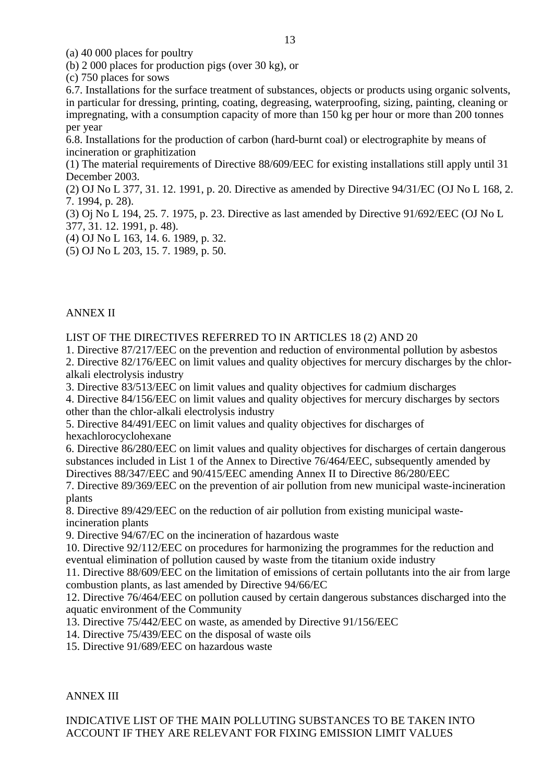(a) 40 000 places for poultry

(b) 2 000 places for production pigs (over 30 kg), or

(c) 750 places for sows

6.7. Installations for the surface treatment of substances, objects or products using organic solvents, in particular for dressing, printing, coating, degreasing, waterproofing, sizing, painting, cleaning or impregnating, with a consumption capacity of more than 150 kg per hour or more than 200 tonnes per year

6.8. Installations for the production of carbon (hard-burnt coal) or electrographite by means of incineration or graphitization

(1) The material requirements of Directive 88/609/EEC for existing installations still apply until 31 December 2003.

(2) OJ No L 377, 31. 12. 1991, p. 20. Directive as amended by Directive 94/31/EC (OJ No L 168, 2. 7. 1994, p. 28).

(3) Oj No L 194, 25. 7. 1975, p. 23. Directive as last amended by Directive 91/692/EEC (OJ No L 377, 31. 12. 1991, p. 48).

(4) OJ No L 163, 14. 6. 1989, p. 32.

(5) OJ No L 203, 15. 7. 1989, p. 50.

ANNEX II

LIST OF THE DIRECTIVES REFERRED TO IN ARTICLES 18 (2) AND 20

1. Directive 87/217/EEC on the prevention and reduction of environmental pollution by asbestos

2. Directive 82/176/EEC on limit values and quality objectives for mercury discharges by the chloralkali electrolysis industry

3. Directive 83/513/EEC on limit values and quality objectives for cadmium discharges

4. Directive 84/156/EEC on limit values and quality objectives for mercury discharges by sectors other than the chlor-alkali electrolysis industry

5. Directive 84/491/EEC on limit values and quality objectives for discharges of hexachlorocyclohexane

6. Directive 86/280/EEC on limit values and quality objectives for discharges of certain dangerous substances included in List 1 of the Annex to Directive 76/464/EEC, subsequently amended by Directives 88/347/EEC and 90/415/EEC amending Annex II to Directive 86/280/EEC

7. Directive 89/369/EEC on the prevention of air pollution from new municipal waste-incineration plants

8. Directive 89/429/EEC on the reduction of air pollution from existing municipal wasteincineration plants

9. Directive 94/67/EC on the incineration of hazardous waste

10. Directive 92/112/EEC on procedures for harmonizing the programmes for the reduction and eventual elimination of pollution caused by waste from the titanium oxide industry

11. Directive 88/609/EEC on the limitation of emissions of certain pollutants into the air from large combustion plants, as last amended by Directive 94/66/EC

12. Directive 76/464/EEC on pollution caused by certain dangerous substances discharged into the aquatic environment of the Community

13. Directive 75/442/EEC on waste, as amended by Directive 91/156/EEC

14. Directive 75/439/EEC on the disposal of waste oils

15. Directive 91/689/EEC on hazardous waste

### ANNEX III

## INDICATIVE LIST OF THE MAIN POLLUTING SUBSTANCES TO BE TAKEN INTO ACCOUNT IF THEY ARE RELEVANT FOR FIXING EMISSION LIMIT VALUES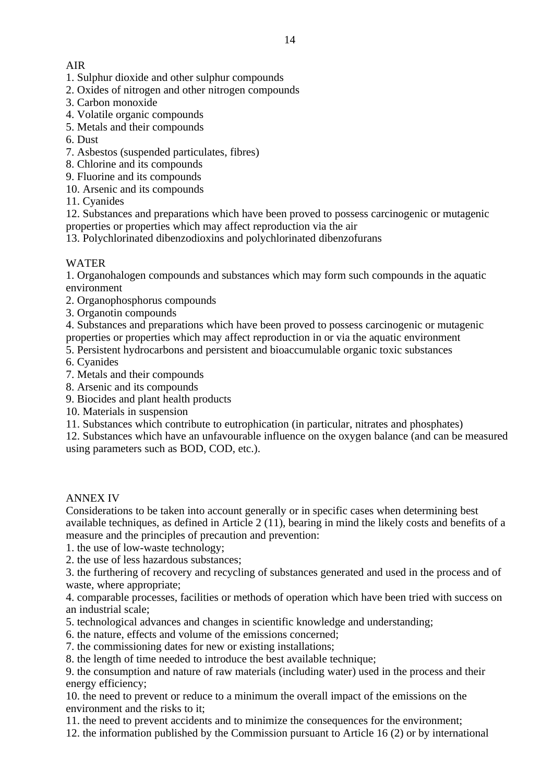# AIR

- 1. Sulphur dioxide and other sulphur compounds
- 2. Oxides of nitrogen and other nitrogen compounds
- 3. Carbon monoxide
- 4. Volatile organic compounds
- 5. Metals and their compounds
- 6. Dust
- 7. Asbestos (suspended particulates, fibres)
- 8. Chlorine and its compounds
- 9. Fluorine and its compounds
- 10. Arsenic and its compounds

11. Cyanides

12. Substances and preparations which have been proved to possess carcinogenic or mutagenic properties or properties which may affect reproduction via the air

13. Polychlorinated dibenzodioxins and polychlorinated dibenzofurans

## WATER

1. Organohalogen compounds and substances which may form such compounds in the aquatic environment

2. Organophosphorus compounds

3. Organotin compounds

4. Substances and preparations which have been proved to possess carcinogenic or mutagenic

properties or properties which may affect reproduction in or via the aquatic environment

- 5. Persistent hydrocarbons and persistent and bioaccumulable organic toxic substances
- 6. Cyanides
- 7. Metals and their compounds
- 8. Arsenic and its compounds
- 9. Biocides and plant health products
- 10. Materials in suspension
- 11. Substances which contribute to eutrophication (in particular, nitrates and phosphates)

12. Substances which have an unfavourable influence on the oxygen balance (and can be measured using parameters such as BOD, COD, etc.).

### ANNEX IV

Considerations to be taken into account generally or in specific cases when determining best available techniques, as defined in Article 2 (11), bearing in mind the likely costs and benefits of a measure and the principles of precaution and prevention:

1. the use of low-waste technology;

2. the use of less hazardous substances;

3. the furthering of recovery and recycling of substances generated and used in the process and of waste, where appropriate;

4. comparable processes, facilities or methods of operation which have been tried with success on an industrial scale;

- 5. technological advances and changes in scientific knowledge and understanding;
- 6. the nature, effects and volume of the emissions concerned;
- 7. the commissioning dates for new or existing installations;

8. the length of time needed to introduce the best available technique;

9. the consumption and nature of raw materials (including water) used in the process and their energy efficiency;

10. the need to prevent or reduce to a minimum the overall impact of the emissions on the environment and the risks to it;

11. the need to prevent accidents and to minimize the consequences for the environment;

12. the information published by the Commission pursuant to Article 16 (2) or by international